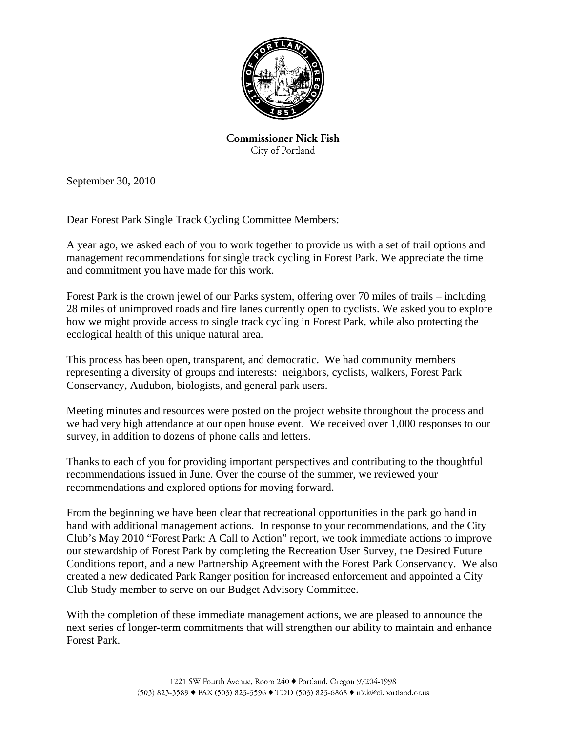

**Commissioner Nick Fish** City of Portland

September 30, 2010

Dear Forest Park Single Track Cycling Committee Members:

A year ago, we asked each of you to work together to provide us with a set of trail options and management recommendations for single track cycling in Forest Park. We appreciate the time and commitment you have made for this work.

Forest Park is the crown jewel of our Parks system, offering over 70 miles of trails – including 28 miles of unimproved roads and fire lanes currently open to cyclists. We asked you to explore how we might provide access to single track cycling in Forest Park, while also protecting the ecological health of this unique natural area.

This process has been open, transparent, and democratic. We had community members representing a diversity of groups and interests: neighbors, cyclists, walkers, Forest Park Conservancy, Audubon, biologists, and general park users.

Meeting minutes and resources were posted on the project website throughout the process and we had very high attendance at our open house event. We received over 1,000 responses to our survey, in addition to dozens of phone calls and letters.

Thanks to each of you for providing important perspectives and contributing to the thoughtful recommendations issued in June. Over the course of the summer, we reviewed your recommendations and explored options for moving forward.

From the beginning we have been clear that recreational opportunities in the park go hand in hand with additional management actions. In response to your recommendations, and the City Club's May 2010 "Forest Park: A Call to Action" report, we took immediate actions to improve our stewardship of Forest Park by completing the Recreation User Survey, the Desired Future Conditions report, and a new Partnership Agreement with the Forest Park Conservancy. We also created a new dedicated Park Ranger position for increased enforcement and appointed a City Club Study member to serve on our Budget Advisory Committee.

With the completion of these immediate management actions, we are pleased to announce the next series of longer-term commitments that will strengthen our ability to maintain and enhance Forest Park.